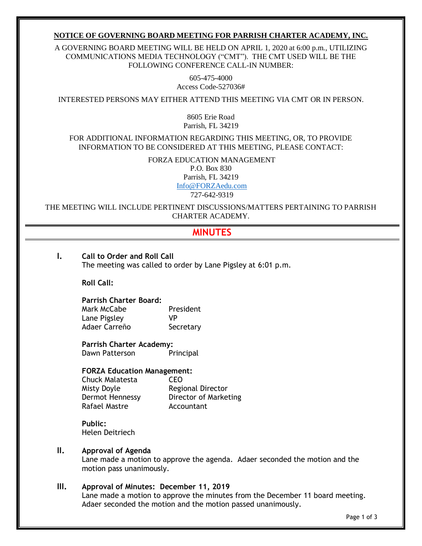#### **NOTICE OF GOVERNING BOARD MEETING FOR PARRISH CHARTER ACADEMY, INC.**

A GOVERNING BOARD MEETING WILL BE HELD ON APRIL 1, 2020 at 6:00 p.m., UTILIZING COMMUNICATIONS MEDIA TECHNOLOGY ("CMT"). THE CMT USED WILL BE THE FOLLOWING CONFERENCE CALL-IN NUMBER:

> 605-475-4000 Access Code-527036#

INTERESTED PERSONS MAY EITHER ATTEND THIS MEETING VIA CMT OR IN PERSON.

8605 Erie Road Parrish, FL 34219

FOR ADDITIONAL INFORMATION REGARDING THIS MEETING, OR, TO PROVIDE INFORMATION TO BE CONSIDERED AT THIS MEETING, PLEASE CONTACT:

> FORZA EDUCATION MANAGEMENT P.O. Box 830 Parrish, FL 34219 [Info@FORZAedu.com](mailto:Info@FORZAedu.com)

> > 727-642-9319

THE MEETING WILL INCLUDE PERTINENT DISCUSSIONS/MATTERS PERTAINING TO PARRISH CHARTER ACADEMY.

# **MINUTES**

- **I. Call to Order and Roll Call** The meeting was called to order by Lane Pigsley at 6:01 p.m. **Roll Call: Parrish Charter Board:** Mark McCabe **President** Lane Pigsley VP Adaer Carreño Secretary **Parrish Charter Academy:** Dawn Patterson Principal **FORZA Education Management:** Chuck Malatesta CEO Misty Doyle **Regional Director** Dermot Hennessy Director of Marketing Rafael Mastre **Accountant Public:** Helen Deitriech
	- **II. Approval of Agenda**

Lane made a motion to approve the agenda. Adaer seconded the motion and the motion pass unanimously.

**III. Approval of Minutes: December 11, 2019**

Lane made a motion to approve the minutes from the December 11 board meeting. Adaer seconded the motion and the motion passed unanimously.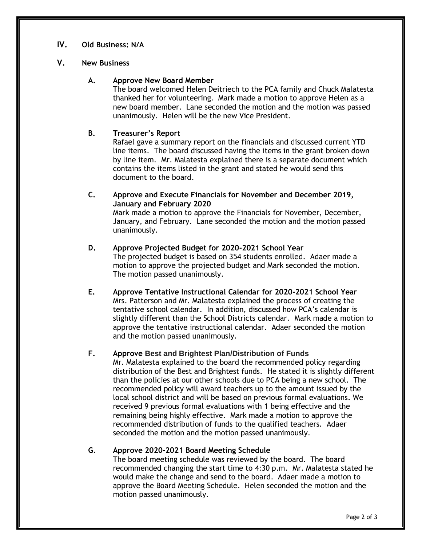## **IV. Old Business: N/A**

#### **V. New Business**

#### **A. Approve New Board Member**

The board welcomed Helen Deitriech to the PCA family and Chuck Malatesta thanked her for volunteering. Mark made a motion to approve Helen as a new board member. Lane seconded the motion and the motion was passed unanimously. Helen will be the new Vice President.

## **B. Treasurer's Report**

Rafael gave a summary report on the financials and discussed current YTD line items. The board discussed having the items in the grant broken down by line item. Mr. Malatesta explained there is a separate document which contains the items listed in the grant and stated he would send this document to the board.

**C. Approve and Execute Financials for November and December 2019, January and February 2020**

Mark made a motion to approve the Financials for November, December, January, and February. Lane seconded the motion and the motion passed unanimously.

- **D. Approve Projected Budget for 2020-2021 School Year** The projected budget is based on 354 students enrolled. Adaer made a motion to approve the projected budget and Mark seconded the motion. The motion passed unanimously.
- **E. Approve Tentative Instructional Calendar for 2020-2021 School Year** Mrs. Patterson and Mr. Malatesta explained the process of creating the tentative school calendar. In addition, discussed how PCA's calendar is slightly different than the School Districts calendar. Mark made a motion to approve the tentative instructional calendar. Adaer seconded the motion and the motion passed unanimously.

## **F. Approve Best and Brightest Plan/Distribution of Funds**

Mr. Malatesta explained to the board the recommended policy regarding distribution of the Best and Brightest funds. He stated it is slightly different than the policies at our other schools due to PCA being a new school. The recommended policy will award teachers up to the amount issued by the local school district and will be based on previous formal evaluations. We received 9 previous formal evaluations with 1 being effective and the remaining being highly effective. Mark made a motion to approve the recommended distribution of funds to the qualified teachers. Adaer seconded the motion and the motion passed unanimously.

## **G. Approve 2020-2021 Board Meeting Schedule**

The board meeting schedule was reviewed by the board. The board recommended changing the start time to 4:30 p.m. Mr. Malatesta stated he would make the change and send to the board. Adaer made a motion to approve the Board Meeting Schedule. Helen seconded the motion and the motion passed unanimously.